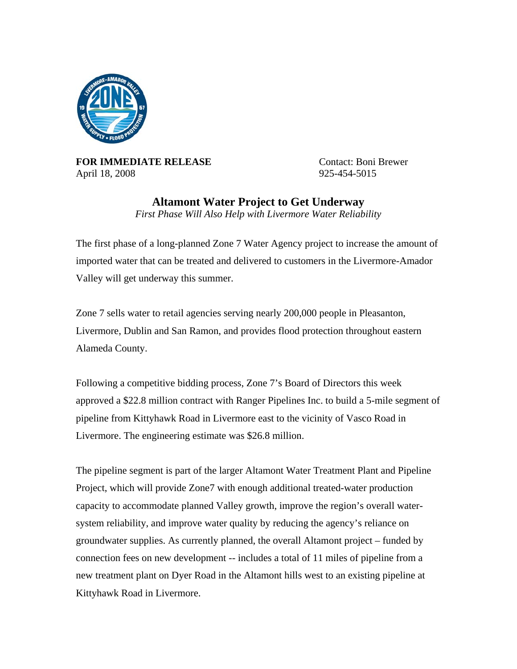

**FOR IMMEDIATE RELEASE** Contact: Boni Brewer April 18, 2008 925-454-5015

**Altamont Water Project to Get Underway**  *First Phase Will Also Help with Livermore Water Reliability* 

The first phase of a long-planned Zone 7 Water Agency project to increase the amount of imported water that can be treated and delivered to customers in the Livermore-Amador Valley will get underway this summer.

Zone 7 sells water to retail agencies serving nearly 200,000 people in Pleasanton, Livermore, Dublin and San Ramon, and provides flood protection throughout eastern Alameda County.

Following a competitive bidding process, Zone 7's Board of Directors this week approved a \$22.8 million contract with Ranger Pipelines Inc. to build a 5-mile segment of pipeline from Kittyhawk Road in Livermore east to the vicinity of Vasco Road in Livermore. The engineering estimate was \$26.8 million.

The pipeline segment is part of the larger Altamont Water Treatment Plant and Pipeline Project, which will provide Zone7 with enough additional treated-water production capacity to accommodate planned Valley growth, improve the region's overall watersystem reliability, and improve water quality by reducing the agency's reliance on groundwater supplies. As currently planned, the overall Altamont project – funded by connection fees on new development -- includes a total of 11 miles of pipeline from a new treatment plant on Dyer Road in the Altamont hills west to an existing pipeline at Kittyhawk Road in Livermore.